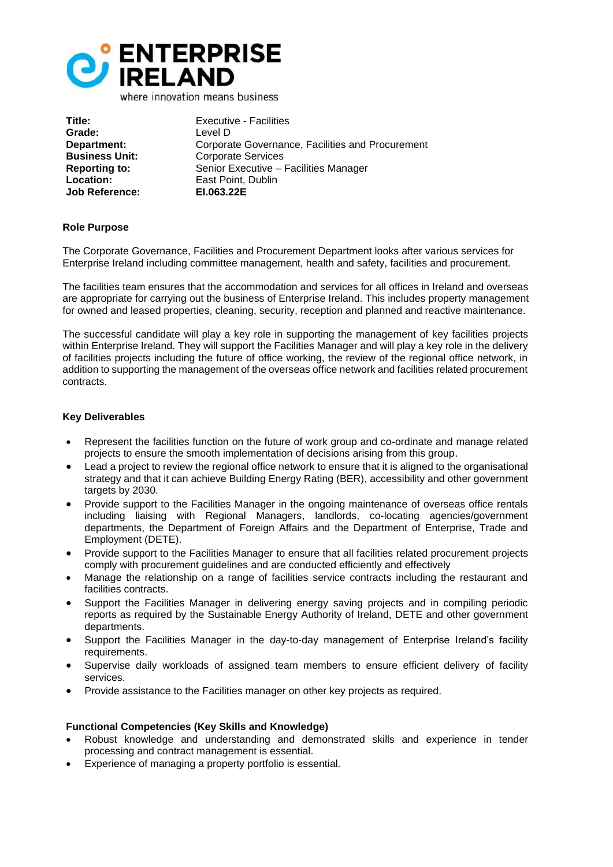

**Title:** Executive - Facilities **Grade:** Level D **Job Reference:** 

**Department:** Corporate Governance, Facilities and Procurement **Business Unit:** Corporate Services **Reporting to:** Senior Executive – Facilities Manager **Location: East Point, Dublin**<br> **Lob Reference: EL063.22E** 

# **Role Purpose**

The Corporate Governance, Facilities and Procurement Department looks after various services for Enterprise Ireland including committee management, health and safety, facilities and procurement.

The facilities team ensures that the accommodation and services for all offices in Ireland and overseas are appropriate for carrying out the business of Enterprise Ireland. This includes property management for owned and leased properties, cleaning, security, reception and planned and reactive maintenance.

The successful candidate will play a key role in supporting the management of key facilities projects within Enterprise Ireland. They will support the Facilities Manager and will play a key role in the delivery of facilities projects including the future of office working, the review of the regional office network, in addition to supporting the management of the overseas office network and facilities related procurement contracts.

# **Key Deliverables**

- Represent the facilities function on the future of work group and co-ordinate and manage related projects to ensure the smooth implementation of decisions arising from this group.
- Lead a project to review the regional office network to ensure that it is aligned to the organisational strategy and that it can achieve Building Energy Rating (BER), accessibility and other government targets by 2030.
- Provide support to the Facilities Manager in the ongoing maintenance of overseas office rentals including liaising with Regional Managers, landlords, co-locating agencies/government departments, the Department of Foreign Affairs and the Department of Enterprise, Trade and Employment (DETE).
- Provide support to the Facilities Manager to ensure that all facilities related procurement projects comply with procurement guidelines and are conducted efficiently and effectively
- Manage the relationship on a range of facilities service contracts including the restaurant and facilities contracts.
- Support the Facilities Manager in delivering energy saving projects and in compiling periodic reports as required by the Sustainable Energy Authority of Ireland, DETE and other government departments.
- Support the Facilities Manager in the day-to-day management of Enterprise Ireland's facility requirements.
- Supervise daily workloads of assigned team members to ensure efficient delivery of facility services.
- Provide assistance to the Facilities manager on other key projects as required.

# **Functional Competencies (Key Skills and Knowledge)**

- Robust knowledge and understanding and demonstrated skills and experience in tender processing and contract management is essential.
- Experience of managing a property portfolio is essential.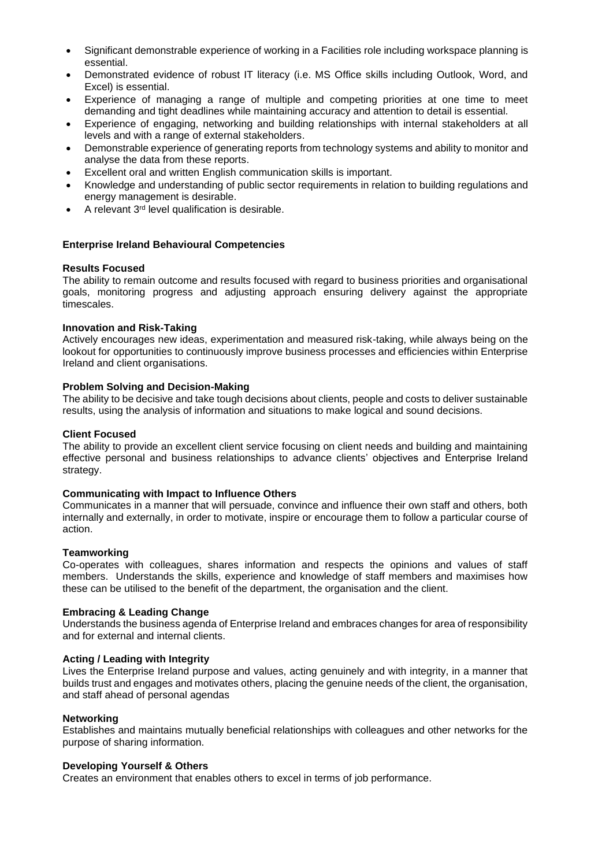- Significant demonstrable experience of working in a Facilities role including workspace planning is essential.
- Demonstrated evidence of robust IT literacy (i.e. MS Office skills including Outlook, Word, and Excel) is essential.
- Experience of managing a range of multiple and competing priorities at one time to meet demanding and tight deadlines while maintaining accuracy and attention to detail is essential.
- Experience of engaging, networking and building relationships with internal stakeholders at all levels and with a range of external stakeholders.
- Demonstrable experience of generating reports from technology systems and ability to monitor and analyse the data from these reports.
- Excellent oral and written English communication skills is important.
- Knowledge and understanding of public sector requirements in relation to building regulations and energy management is desirable.
- A relevant 3<sup>rd</sup> level qualification is desirable.

#### **Enterprise Ireland Behavioural Competencies**

#### **Results Focused**

The ability to remain outcome and results focused with regard to business priorities and organisational goals, monitoring progress and adjusting approach ensuring delivery against the appropriate timescales.

#### **Innovation and Risk-Taking**

Actively encourages new ideas, experimentation and measured risk-taking, while always being on the lookout for opportunities to continuously improve business processes and efficiencies within Enterprise Ireland and client organisations.

### **Problem Solving and Decision-Making**

The ability to be decisive and take tough decisions about clients, people and costs to deliver sustainable results, using the analysis of information and situations to make logical and sound decisions.

#### **Client Focused**

The ability to provide an excellent client service focusing on client needs and building and maintaining effective personal and business relationships to advance clients' objectives and Enterprise Ireland strategy.

#### **Communicating with Impact to Influence Others**

Communicates in a manner that will persuade, convince and influence their own staff and others, both internally and externally, in order to motivate, inspire or encourage them to follow a particular course of action.

#### **Teamworking**

Co-operates with colleagues, shares information and respects the opinions and values of staff members. Understands the skills, experience and knowledge of staff members and maximises how these can be utilised to the benefit of the department, the organisation and the client.

#### **Embracing & Leading Change**

Understands the business agenda of Enterprise Ireland and embraces changes for area of responsibility and for external and internal clients.

#### **Acting / Leading with Integrity**

Lives the Enterprise Ireland purpose and values, acting genuinely and with integrity, in a manner that builds trust and engages and motivates others, placing the genuine needs of the client, the organisation, and staff ahead of personal agendas

#### **Networking**

Establishes and maintains mutually beneficial relationships with colleagues and other networks for the purpose of sharing information.

#### **Developing Yourself & Others**

Creates an environment that enables others to excel in terms of job performance.